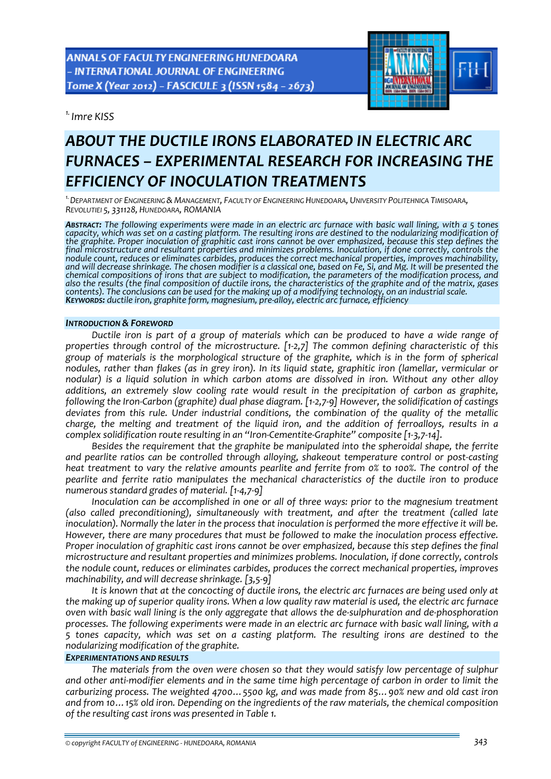ANNALS OF FACULTY ENGINEERING HUNEDOARA - INTERNATIONAL JOURNAL OF ENGINEERING Tome X (Year 2012) - FASCICULE 3 (ISSN 1584 - 2673)

*1. Imre KISS* 



# *ABOUT THE DUCTILE IRONS ELABORATED IN ELECTRIC ARC FURNACES – EXPERIMENTAL RESEARCH FOR INCREASING THE EFFICIENCY OF INOCULATION TREATMENTS*

*1.DEPARTMENT OF ENGINEERING & MANAGEMENT, FACULTY OF ENGINEERING HUNEDOARA, UNIVERSITY POLITEHNICA TIMISOARA, REVOLUTIEI 5, 331128, HUNEDOARA, ROMANIA*

**ABSTRACT:** The following experiments were made in an electric arc furnace with basic wall lining, with a 5 tones capacity, which was set on a casting platform. The resulting irons are destined to the nodularizing modifica the graphite. Proper inoculation of graphitic cast irons cannot be over emphasized, because this step defines the *final microstructure and resultant properties and minimizes problems. Inoculation, if done correctly, controls the* and will decrease shrinkage. The chosen modifier is a classical one, based on Fe, Si, and Mg. It will be presented the *chemical compositions of irons that are subject to modification, the parameters of the modification process, and* also the results (the final composition of ductile irons, the characteristics of the graphite and of the matrix, gases<br>contents). The conclusions can be used for the making up of a modifying technology, on an industrial sc

#### *INTRODUCTION & FOREWORD*

*Ductile iron is part of a group of materials which can be produced to have a wide range of properties through control of the microstructure. [1‐2,7] The common defining characteristic of this group of materials is the morphological structure of the graphite, which is in the form of spherical* nodules, rather than flakes (as in grey iron). In its liquid state, graphitic iron (lamellar, vermicular or *nodular) is a liquid solution in which carbon atoms are dissolved in iron. Without any other alloy additions, an extremely slow cooling rate would result in the precipitation of carbon as graphite,* following the Iron-Carbon (graphite) dual phase diagram. [1-2,7-9] However, the solidification of castings *deviates from this rule. Under industrial conditions, the combination of the quality of the metallic charge, the melting and treatment of the liquid iron, and the addition of ferroalloys, results in a complex solidification route resulting in an "Iron‐Cementite‐Graphite" composite [1‐3,7‐14].*

*Besides the requirement that the graphite be manipulated into the spheroidal shape, the ferrite and pearlite ratios can be controlled through alloying, shakeout temperature control or post‐casting* heat treatment to vary the relative amounts pearlite and ferrite from 0% to 100%. The control of the *pearlite and ferrite ratio manipulates the mechanical characteristics of the ductile iron to produce numerous standard grades of material. [1‐4,7‐9]*

*Inoculation can be accomplished in one or all of three ways: prior to the magnesium treatment (also called preconditioning), simultaneously with treatment, and after the treatment (called late* inoculation). Normally the later in the process that inoculation is performed the more effective it will be. *However, there are many procedures that must be followed to make the inoculation process effective. Proper inoculation of graphitic cast irons cannot be over emphasized, because this step defines the final microstructure and resultant properties and minimizes problems. Inoculation, if done correctly, controls the nodule count, reduces or eliminates carbides, produces the correct mechanical properties, improves machinability, and will decrease shrinkage. [3,5‐9]*

It is known that at the concocting of ductile irons, the electric arc furnaces are being used only at the making up of superior quality irons. When a low quality raw material is used, the electric arc furnace oven with basic wall lining is the only aggregate that allows the de-sulphuration and de-phosphoration *processes. The following experiments were made in an electric arc furnace with basic wall lining, with a 5 tones capacity, which was set on a casting platform. The resulting irons are destined to the nodularizing modification of the graphite.*

### *EXPERIMENTATIONS AND RESULTS*

*The materials from the oven were chosen so that they would satisfy low percentage of sulphur* and other anti-modifier elements and in the same time high percentage of carbon in order to limit the *carburizing process. The weighted 4700…5500 kg, and was made from 85…90% new and old cast iron and from 10…15% old iron. Depending on the ingredients of the raw materials, the chemical composition of the resulting cast irons was presented in Table 1.*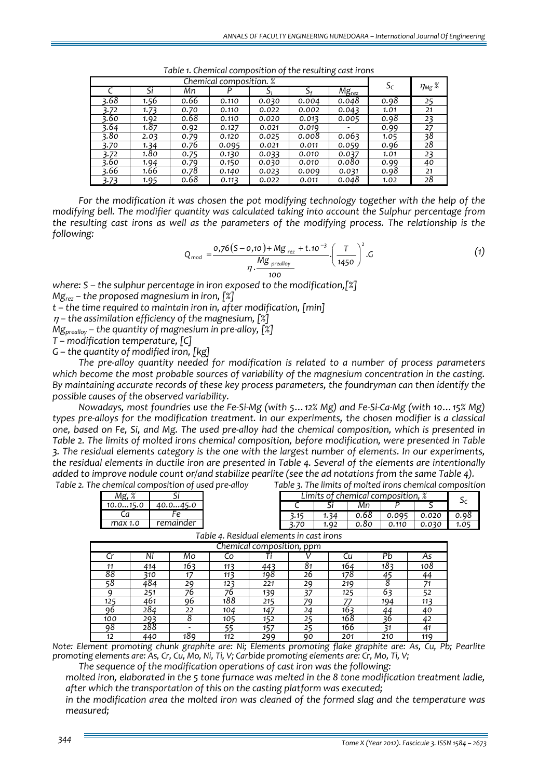| Chemical composition. % |      |      |       |       |       |            | $S_{\text{C}}$ | $\eta_{\rm Mg}$ % |
|-------------------------|------|------|-------|-------|-------|------------|----------------|-------------------|
|                         | Si   | Мn   |       |       |       | $Mg_{rez}$ |                |                   |
| 3.68                    | 1.56 | 0.66 | 0.110 | 0.030 | 0.004 | 0.048      | 0.98           | 25                |
| 3.72                    | 1.73 | 0.70 | 0.110 | 0.022 | 0.002 | 0.043      | 1.01           | 21                |
| 3.60                    | 1.92 | 0.68 | 0.110 | 0.020 | 0.013 | 0.005      | 0.98           | 23                |
| 3.64                    | 1.87 | 0.92 | 0.127 | 0.021 | 0.019 |            | 0.99           | 27                |
| 3.80                    | 2.03 | 0.79 | 0.120 | 0.025 | 0.008 | 0.063      | 1.05           | 38                |
| 3.70                    | 1.34 | 0.76 | 0.095 | 0.021 | 0.011 | 0.059      | 0.96           | 28                |
| 3.72                    | 1.80 | 0.75 | 0.130 | 0.033 | 0.010 | 0.037      | 1.01           | 23                |
| 3.60                    | 1.94 | 0.79 | 0.150 | 0.030 | 0.010 | 0.080      | 0.99           | 40                |
| 3.66                    | 1.66 | 0.78 | 0.140 | 0.023 | 0.009 | 0.031      | 0.98           | 21                |
| 3.73                    | 1.95 | 0.68 | 0.113 | 0.022 | 0.011 | 0.048      | 1.02           | 28                |

*Table 1. Chemical composition of the resulting cast irons*

*For the modification it was chosen the pot modifying technology together with the help of the modifying bell. The modifier quantity was calculated taking into account the Sulphur percentage from the resulting cast irons as well as the parameters of the modifying process. The relationship is the following:*

$$
Q_{mod} = \frac{0.76(5 - 0.10) + Mg_{reg} + t.10^{-3}}{Mg_{predloy}} \cdot \left(\frac{T}{1450}\right)^2 \cdot G
$$
 (1)

*where: S – the sulphur percentage in iron exposed to the modification,[%]*

*Mgrez – the proposed magnesium in iron, [%]*

*t – the time required to maintain iron in, after modification, [min]*

<sup>η</sup> *– the assimilation efficiency of the magnesium, [%]*

*Mgprealloy – the quantity of magnesium in pre‐alloy, [%]*

*T – modification temperature, [C]*

*G – the quantity of modified iron, [kg]*

*The pre‐alloy quantity needed for modification is related to a number of process parameters which become the most probable sources of variability of the magnesium concentration in the casting. By maintaining accurate records of these key process parameters, the foundryman can then identify the possible causes of the observed variability.*

Nowadays, most foundries use the Fe-Si-Mg (with 5... 12% Mg) and Fe-Si-Ca-Mg (with 10... 15% Mg) *types pre‐alloys for the modification treatment. In our experiments, the chosen modifier is a classical* one, based on Fe, Si, and Mg. The used pre-alloy had the chemical composition, which is presented in *Table 2. The limits of molted irons chemical composition, before modification, were presented in Table 3. The residual elements category is the one with the largest number of elements. In our experiments, the residual elements in ductile iron are presented in Table 4. Several of the elements are intentionally added to improve nodule count or/and stabilize pearlite (see the ad notations from the same Table 4). Table 2. The chemical composition of used pre‐alloy Table 3. The limits of molted irons chemical composition*

| Mg, %    |           | Limits of<br>chemical composition, % |          |      |       |       |      |
|----------|-----------|--------------------------------------|----------|------|-------|-------|------|
| 10.015.0 | 40.045.0  |                                      | - -<br>- | Mn   |       |       | ັ    |
| cα       |           |                                      | 1.34     | 0.68 | 0.095 | 0.020 | 0.98 |
| max 1.0  | remainder | २.७०                                 | 1.92     | 0.80 | 0.110 | 0.030 | 1.05 |

*Table 4. Residual elements in cast irons*

| Chemical composition, ppm |     |     |     |     |    |     |     |     |  |
|---------------------------|-----|-----|-----|-----|----|-----|-----|-----|--|
| Cr                        | Ni  | Mo  | ĹΟ  |     |    | Cu  | Pb  | As  |  |
| 11                        | 414 | 163 | 113 | 443 | 81 | 164 | 183 | 108 |  |
| 88                        | 310 | 17  | 113 | 198 | 26 | 178 | 45  | 44  |  |
| 58                        | 484 | 29  | 123 | 221 | 29 | 219 | 8   | 71  |  |
|                           | 251 | 76  | 76  | 139 |    | 125 | 63  |     |  |
| 125                       | 461 | 96  | 188 | 215 | 79 | 77  | 194 | 113 |  |
| 96                        | 284 | 22  | 104 | 147 | 24 | 163 | 44  | 40  |  |
| 100                       | 293 | Ω   | 105 | 152 | 25 | 168 | 36  | 42  |  |
| 98                        | 288 | -   |     | 157 | 25 | 166 |     | 41  |  |
| 12                        | 440 | 189 | 112 | 299 | 90 | 201 | 210 | 119 |  |

*Note: Element promoting chunk graphite are: Ni; Elements promoting flake graphite are: As, Cu, Pb; Pearlite promoting elements are: As, Cr, Cu, Mo, Ni, Ti, V; Carbide promoting elements are: Cr, Mo, Ti, V;*

*The sequence of the modification operations of cast iron was the following:*

 *molted iron, elaborated in the 5 tone furnace was melted in the 8 tone modification treatment ladle, after which the transportation of this on the casting platform was executed;*

 *in the modification area the molted iron was cleaned of the formed slag and the temperature was measured;*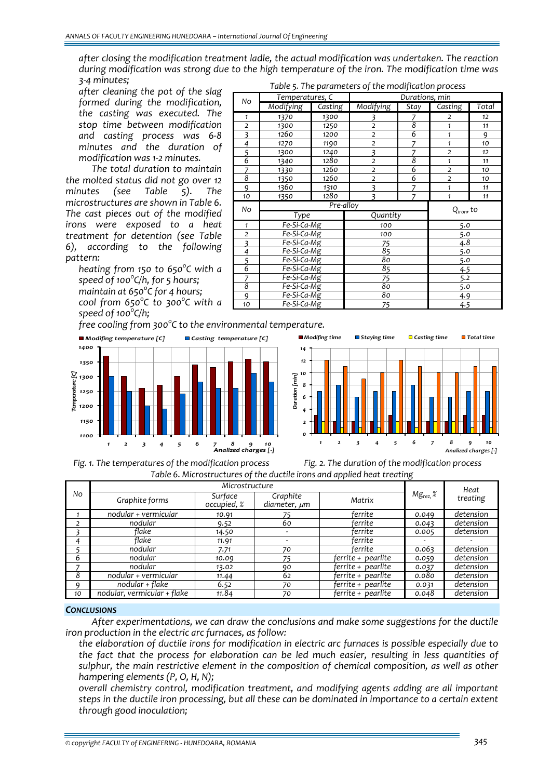*after closing the modification treatment ladle, the actual modification was undertaken. The reaction during modification was strong due to the high temperature of the iron. The modification time was 3‐4 minutes;* 

 *after cleaning the pot of the slag formed during the modification, the casting was executed. The stop time between modification and casting process was 6‐8 minutes and the duration of modification was 1‐2 minutes.*

*The total duration to maintain the molted status did not go over 12 minutes (see Table 5). The microstructures are shown in Table 6. The cast pieces out of the modified irons were exposed to a heat treatment for detention (see Table 6), according to the following pattern:*

 *heating from 150 to 650<sup>o</sup> C with a* speed of 100°C/h, for 5 hours; *maintain at 650<sup>o</sup> C for 4 hours; cool from 650<sup>o</sup>C to 300<sup>o</sup>C with a* speed of 100°C/h;

*free cooling from* 300°C to the environmental temperature.







*Fig. 1. The temperatures of the modification process Fig. 2. The duration of the modification process Table 6. Microstructures of the ductile irons and applied heat treating*

| No |                             | ັບ                     | Heat                     |                    |                      |           |
|----|-----------------------------|------------------------|--------------------------|--------------------|----------------------|-----------|
|    | Graphite forms              | Surface<br>occupied, % | Graphite<br>diameter, µm | Matrix             | Mg <sub>rez,</sub> % | treating  |
|    | nodular + vermicular        | 10.91                  | 75                       | ferrite            | 0.049                | detension |
|    | nodular                     | 9.52                   | 60                       | ferrite            | 0.043                | detension |
|    | flake                       | 14.50                  | ۰                        | ferrite            | 0.005                | detension |
| 4  | flake                       | 11.91                  | $\overline{\phantom{a}}$ | ferrite            |                      |           |
|    | nodular                     | 7.71                   | 70                       | ferrite            | 0.063                | detension |
| 6  | nodular                     | 10.09                  | 75                       | ferrite + pearlite | 0.059                | detension |
|    | nodular                     | 13.02                  | 90                       | ferrite + pearlite | 0.037                | detension |
| 8  | nodular + vermicular        | 11.44                  | 62                       | ferrite + pearlite | 0.080                | detension |
|    | nodular + flake             | 6.52                   | 70                       | ferrite + pearlite | 0.031                | detension |
| 10 | nodular, vermicular + flake | 11.84                  | 70                       | ferrite + pearlite | 0.048                | detension |

## *CONCLUSIONS*

*After experimentations, we can draw the conclusions and make some suggestions for the ductile iron production in the electric arc furnaces, as follow:*

 *the elaboration of ductile irons for modification in electric arc furnaces is possible especially due to the fact that the process for elaboration can be led much easier, resulting in less quantities of sulphur, the main restrictive element in the composition of chemical composition, as well as other hampering elements (P, O, H, N);* 

 *overall chemistry control, modification treatment, and modifying agents adding are all important* steps in the ductile iron processing, but all these can be dominated in importance to a certain extent *through good inoculation;*